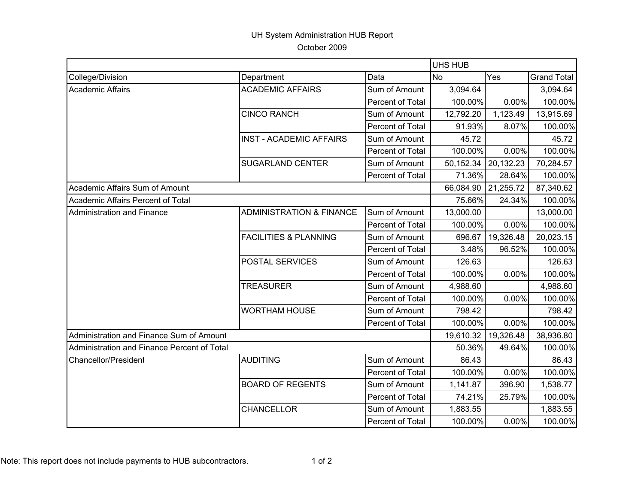## UH System Administration HUB Report

October 2009

|                                             |                                     |                  | <b>UHS HUB</b> |           |                    |  |
|---------------------------------------------|-------------------------------------|------------------|----------------|-----------|--------------------|--|
| College/Division                            | Department                          | Data             | <b>No</b>      | Yes       | <b>Grand Total</b> |  |
| <b>Academic Affairs</b>                     | <b>ACADEMIC AFFAIRS</b>             | Sum of Amount    | 3,094.64       |           | 3,094.64           |  |
|                                             |                                     | Percent of Total | 100.00%        | 0.00%     | 100.00%            |  |
|                                             | <b>CINCO RANCH</b>                  | Sum of Amount    | 12,792.20      | 1,123.49  | 13,915.69          |  |
|                                             |                                     | Percent of Total | 91.93%         | 8.07%     | 100.00%            |  |
|                                             | <b>INST - ACADEMIC AFFAIRS</b>      | Sum of Amount    | 45.72          |           | 45.72              |  |
|                                             |                                     | Percent of Total | 100.00%        | 0.00%     | 100.00%            |  |
|                                             | <b>SUGARLAND CENTER</b>             | Sum of Amount    | 50,152.34      | 20,132.23 | 70,284.57          |  |
|                                             |                                     | Percent of Total | 71.36%         | 28.64%    | 100.00%            |  |
| Academic Affairs Sum of Amount              |                                     |                  | 66,084.90      | 21,255.72 | 87,340.62          |  |
| Academic Affairs Percent of Total           |                                     |                  | 75.66%         | 24.34%    | 100.00%            |  |
| <b>Administration and Finance</b>           | <b>ADMINISTRATION &amp; FINANCE</b> | Sum of Amount    | 13,000.00      |           | 13,000.00          |  |
|                                             |                                     | Percent of Total | 100.00%        | 0.00%     | 100.00%            |  |
|                                             | <b>FACILITIES &amp; PLANNING</b>    | Sum of Amount    | 696.67         | 19,326.48 | 20,023.15          |  |
|                                             |                                     | Percent of Total | 3.48%          | 96.52%    | 100.00%            |  |
|                                             | POSTAL SERVICES                     | Sum of Amount    | 126.63         |           | 126.63             |  |
|                                             |                                     | Percent of Total | 100.00%        | 0.00%     | 100.00%            |  |
|                                             | <b>TREASURER</b>                    | Sum of Amount    | 4,988.60       |           | 4,988.60           |  |
|                                             |                                     | Percent of Total | 100.00%        | 0.00%     | 100.00%            |  |
|                                             | <b>WORTHAM HOUSE</b>                | Sum of Amount    | 798.42         |           | 798.42             |  |
|                                             |                                     | Percent of Total | 100.00%        | 0.00%     | 100.00%            |  |
| Administration and Finance Sum of Amount    |                                     |                  | 19,610.32      | 19,326.48 | 38,936.80          |  |
| Administration and Finance Percent of Total |                                     |                  | 50.36%         | 49.64%    | 100.00%            |  |
| <b>Chancellor/President</b>                 | <b>AUDITING</b>                     | Sum of Amount    | 86.43          |           | 86.43              |  |
|                                             |                                     | Percent of Total | 100.00%        | 0.00%     | 100.00%            |  |
|                                             | <b>BOARD OF REGENTS</b>             | Sum of Amount    | 1,141.87       | 396.90    | 1,538.77           |  |
|                                             |                                     | Percent of Total | 74.21%         | 25.79%    | 100.00%            |  |
|                                             | CHANCELLOR                          | Sum of Amount    | 1,883.55       |           | 1,883.55           |  |
|                                             |                                     | Percent of Total | 100.00%        | 0.00%     | 100.00%            |  |